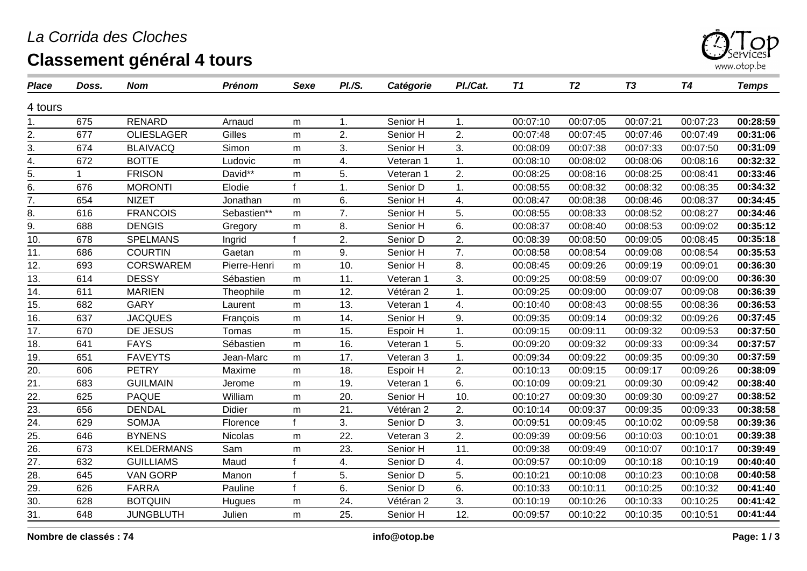## *La Corrida des Cloches* **Classement général 4 tours**



| <b>Place</b>      | Doss. | <b>Nom</b>        | Prénom        | <b>Sexe</b> | PI.S.         | Catégorie | Pl./Cat. | <b>T1</b> | T <sub>2</sub> | <b>T3</b> | <b>T4</b> | <b>Temps</b> |
|-------------------|-------|-------------------|---------------|-------------|---------------|-----------|----------|-----------|----------------|-----------|-----------|--------------|
| 4 tours           |       |                   |               |             |               |           |          |           |                |           |           |              |
| 1.                | 675   | <b>RENARD</b>     | Arnaud        | m           | 1.            | Senior H  | 1.       | 00:07:10  | 00:07:05       | 00:07:21  | 00:07:23  | 00:28:59     |
| 2.                | 677   | <b>OLIESLAGER</b> | Gilles        | m           | 2.            | Senior H  | 2.       | 00:07:48  | 00:07:45       | 00:07:46  | 00:07:49  | 00:31:06     |
| 3.                | 674   | <b>BLAIVACQ</b>   | Simon         | m           | 3.            | Senior H  | 3.       | 00:08:09  | 00:07:38       | 00:07:33  | 00:07:50  | 00:31:09     |
| 4.                | 672   | <b>BOTTE</b>      | Ludovic       | m           | 4.            | Veteran 1 | 1.       | 00:08:10  | 00:08:02       | 00:08:06  | 00:08:16  | 00:32:32     |
| 5.                |       | <b>FRISON</b>     | David**       | m           | 5.            | Veteran 1 | 2.       | 00:08:25  | 00:08:16       | 00:08:25  | 00:08:41  | 00:33:46     |
| 6.                | 676   | <b>MORONTI</b>    | Elodie        |             | $\mathbf 1$ . | Senior D  | 1.       | 00:08:55  | 00:08:32       | 00:08:32  | 00:08:35  | 00:34:32     |
| $\overline{7}$ .  | 654   | <b>NIZET</b>      | Jonathan      | m           | 6.            | Senior H  | 4.       | 00:08:47  | 00:08:38       | 00:08:46  | 00:08:37  | 00:34:45     |
| 8.                | 616   | <b>FRANCOIS</b>   | Sebastien**   | m           | 7.            | Senior H  | 5.       | 00:08:55  | 00:08:33       | 00:08:52  | 00:08:27  | 00:34:46     |
| 9.                | 688   | <b>DENGIS</b>     | Gregory       | m           | 8.            | Senior H  | 6.       | 00:08:37  | 00:08:40       | 00:08:53  | 00:09:02  | 00:35:12     |
| 10.               | 678   | <b>SPELMANS</b>   | Ingrid        |             | 2.            | Senior D  | 2.       | 00:08:39  | 00:08:50       | 00:09:05  | 00:08:45  | 00:35:18     |
| 11.               | 686   | <b>COURTIN</b>    | Gaetan        | m           | 9.            | Senior H  | 7.       | 00:08:58  | 00:08:54       | 00:09:08  | 00:08:54  | 00:35:53     |
| 12.               | 693   | <b>CORSWAREM</b>  | Pierre-Henri  | ${\sf m}$   | 10.           | Senior H  | 8.       | 00:08:45  | 00:09:26       | 00:09:19  | 00:09:01  | 00:36:30     |
| 13.               | 614   | <b>DESSY</b>      | Sébastien     | m           | 11.           | Veteran 1 | 3.       | 00:09:25  | 00:08:59       | 00:09:07  | 00:09:00  | 00:36:30     |
| $\overline{14}$ . | 611   | <b>MARIEN</b>     | Theophile     | m           | 12.           | Vétéran 2 | 1.       | 00:09:25  | 00:09:00       | 00:09:07  | 00:09:08  | 00:36:39     |
| 15.               | 682   | <b>GARY</b>       | Laurent       | m           | 13.           | Veteran 1 | 4.       | 00:10:40  | 00:08:43       | 00:08:55  | 00:08:36  | 00:36:53     |
| 16.               | 637   | <b>JACQUES</b>    | François      | ${\sf m}$   | 14.           | Senior H  | 9.       | 00:09:35  | 00:09:14       | 00:09:32  | 00:09:26  | 00:37:45     |
| 17.               | 670   | DE JESUS          | Tomas         | m           | 15.           | Espoir H  | 1.       | 00:09:15  | 00:09:11       | 00:09:32  | 00:09:53  | 00:37:50     |
| 18.               | 641   | <b>FAYS</b>       | Sébastien     | m           | 16.           | Veteran 1 | 5.       | 00:09:20  | 00:09:32       | 00:09:33  | 00:09:34  | 00:37:57     |
| 19.               | 651   | <b>FAVEYTS</b>    | Jean-Marc     | ${\sf m}$   | 17.           | Veteran 3 | 1.       | 00:09:34  | 00:09:22       | 00:09:35  | 00:09:30  | 00:37:59     |
| 20.               | 606   | <b>PETRY</b>      | Maxime        | m           | 18.           | Espoir H  | 2.       | 00:10:13  | 00:09:15       | 00:09:17  | 00:09:26  | 00:38:09     |
| $\overline{21}$ . | 683   | <b>GUILMAIN</b>   | Jerome        | m           | 19.           | Veteran 1 | 6.       | 00:10:09  | 00:09:21       | 00:09:30  | 00:09:42  | 00:38:40     |
| 22.               | 625   | <b>PAQUE</b>      | William       | m           | 20.           | Senior H  | 10.      | 00:10:27  | 00:09:30       | 00:09:30  | 00:09:27  | 00:38:52     |
| 23.               | 656   | <b>DENDAL</b>     | <b>Didier</b> | m           | 21.           | Vétéran 2 | 2.       | 00:10:14  | 00:09:37       | 00:09:35  | 00:09:33  | 00:38:58     |
| $\overline{24}$ . | 629   | <b>SOMJA</b>      | Florence      |             | 3.            | Senior D  | 3.       | 00:09:51  | 00:09:45       | 00:10:02  | 00:09:58  | 00:39:36     |
| 25.               | 646   | <b>BYNENS</b>     | Nicolas       | m           | 22.           | Veteran 3 | 2.       | 00:09:39  | 00:09:56       | 00:10:03  | 00:10:01  | 00:39:38     |
| 26.               | 673   | <b>KELDERMANS</b> | Sam           | m           | 23.           | Senior H  | 11.      | 00:09:38  | 00:09:49       | 00:10:07  | 00:10:17  | 00:39:49     |
| 27.               | 632   | <b>GUILLIAMS</b>  | Maud          |             | 4.            | Senior D  | 4.       | 00:09:57  | 00:10:09       | 00:10:18  | 00:10:19  | 00:40:40     |
| $\overline{28}$ . | 645   | <b>VAN GORP</b>   | Manon         |             | 5.            | Senior D  | 5.       | 00:10:21  | 00:10:08       | 00:10:23  | 00:10:08  | 00:40:58     |
| 29.               | 626   | <b>FARRA</b>      | Pauline       |             | 6.            | Senior D  | 6.       | 00:10:33  | 00:10:11       | 00:10:25  | 00:10:32  | 00:41:40     |
| 30.               | 628   | <b>BOTQUIN</b>    | Hugues        | m           | 24.           | Vétéran 2 | 3.       | 00:10:19  | 00:10:26       | 00:10:33  | 00:10:25  | 00:41:42     |
| $\overline{31}$ . | 648   | <b>JUNGBLUTH</b>  | Julien        | m           | 25.           | Senior H  | 12.      | 00:09:57  | 00:10:22       | 00:10:35  | 00:10:51  | 00:41:44     |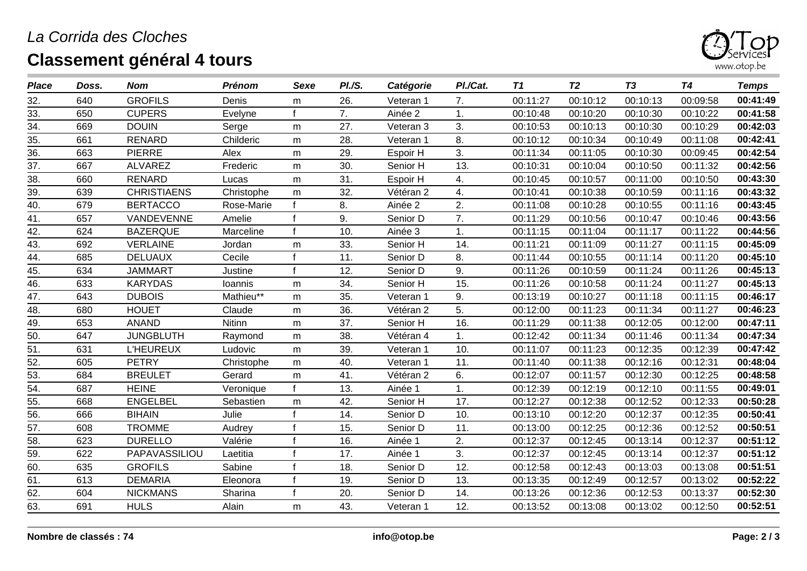## *La Corrida des Cloches* **Classement général 4 tours**



| <b>Place</b>      | Doss. | <b>Nom</b>         | <b>Prénom</b> | <b>Sexe</b>  | PI.S. | Catégorie | PI./Cat.       | T1       | T <sub>2</sub> | T3       | <b>T4</b> | <b>Temps</b> |
|-------------------|-------|--------------------|---------------|--------------|-------|-----------|----------------|----------|----------------|----------|-----------|--------------|
| 32.               | 640   | <b>GROFILS</b>     | Denis         | m            | 26.   | Veteran 1 | 7.             | 00:11:27 | 00:10:12       | 00:10:13 | 00:09:58  | 00:41:49     |
| 33.               | 650   | <b>CUPERS</b>      | Evelyne       | $\mathbf{f}$ | 7.    | Ainée 2   | 1.             | 00:10:48 | 00:10:20       | 00:10:30 | 00:10:22  | 00:41:58     |
| 34.               | 669   | <b>DOUIN</b>       | Serge         | m            | 27.   | Veteran 3 | 3.             | 00:10:53 | 00:10:13       | 00:10:30 | 00:10:29  | 00:42:03     |
| 35.               | 661   | <b>RENARD</b>      | Childeric     | m            | 28.   | Veteran 1 | 8.             | 00:10:12 | 00:10:34       | 00:10:49 | 00:11:08  | 00:42:41     |
| 36.               | 663   | <b>PIERRE</b>      | Alex          | m            | 29.   | Espoir H  | 3.             | 00:11:34 | 00:11:05       | 00:10:30 | 00:09:45  | 00:42:54     |
| 37.               | 667   | <b>ALVAREZ</b>     | Frederic      | m            | 30.   | Senior H  | 13.            | 00:10:31 | 00:10:04       | 00:10:50 | 00:11:32  | 00:42:56     |
| 38.               | 660   | <b>RENARD</b>      | Lucas         | m            | 31.   | Espoir H  | 4.             | 00:10:45 | 00:10:57       | 00:11:00 | 00:10:50  | 00:43:30     |
| 39.               | 639   | <b>CHRISTIAENS</b> | Christophe    | m            | 32.   | Vétéran 2 | 4.             | 00:10:41 | 00:10:38       | 00:10:59 | 00:11:16  | 00:43:32     |
| 40.               | 679   | <b>BERTACCO</b>    | Rose-Marie    | $\mathbf{f}$ | 8.    | Ainée 2   | 2.             | 00:11:08 | 00:10:28       | 00:10:55 | 00:11:16  | 00:43:45     |
| 41.               | 657   | VANDEVENNE         | Amelie        |              | 9.    | Senior D  | 7.             | 00:11:29 | 00:10:56       | 00:10:47 | 00:10:46  | 00:43:56     |
| 42.               | 624   | <b>BAZERQUE</b>    | Marceline     |              | 10.   | Ainée 3   | $\mathbf{1}$ . | 00:11:15 | 00:11:04       | 00:11:17 | 00:11:22  | 00:44:56     |
| 43.               | 692   | <b>VERLAINE</b>    | Jordan        | m            | 33.   | Senior H  | 14.            | 00:11:21 | 00:11:09       | 00:11:27 | 00:11:15  | 00:45:09     |
| 44.               | 685   | <b>DELUAUX</b>     | Cecile        |              | 11.   | Senior D  | 8.             | 00:11:44 | 00:10:55       | 00:11:14 | 00:11:20  | 00:45:10     |
| 45.               | 634   | <b>JAMMART</b>     | Justine       |              | 12.   | Senior D  | 9.             | 00:11:26 | 00:10:59       | 00:11:24 | 00:11:26  | 00:45:13     |
| 46.               | 633   | <b>KARYDAS</b>     | Ioannis       | m            | 34.   | Senior H  | 15.            | 00:11:26 | 00:10:58       | 00:11:24 | 00:11:27  | 00:45:13     |
| 47.               | 643   | <b>DUBOIS</b>      | Mathieu**     | m            | 35.   | Veteran 1 | 9.             | 00:13:19 | 00:10:27       | 00:11:18 | 00:11:15  | 00:46:17     |
| 48.               | 680   | <b>HOUET</b>       | Claude        | m            | 36.   | Vétéran 2 | 5.             | 00:12:00 | 00:11:23       | 00:11:34 | 00:11:27  | 00:46:23     |
| 49.               | 653   | <b>ANAND</b>       | Nitinn        | m            | 37.   | Senior H  | 16.            | 00:11:29 | 00:11:38       | 00:12:05 | 00:12:00  | 00:47:11     |
| 50.               | 647   | <b>JUNGBLUTH</b>   | Raymond       | m            | 38.   | Vétéran 4 | 1.             | 00:12:42 | 00:11:34       | 00:11:46 | 00:11:34  | 00:47:34     |
| 51.               | 631   | <b>L'HEUREUX</b>   | Ludovic       | ${\sf m}$    | 39.   | Veteran 1 | 10.            | 00:11:07 | 00:11:23       | 00:12:35 | 00:12:39  | 00:47:42     |
| 52.               | 605   | <b>PETRY</b>       | Christophe    | m            | 40.   | Veteran 1 | 11.            | 00:11:40 | 00:11:38       | 00:12:16 | 00:12:31  | 00:48:04     |
| 53.               | 684   | <b>BREULET</b>     | Gerard        | m            | 41.   | Vétéran 2 | 6.             | 00:12:07 | 00:11:57       | 00:12:30 | 00:12:25  | 00:48:58     |
| $\overline{54}$ . | 687   | <b>HEINE</b>       | Veronique     |              | 13.   | Ainée 1   | 1.             | 00:12:39 | 00:12:19       | 00:12:10 | 00:11:55  | 00:49:01     |
| 55.               | 668   | <b>ENGELBEL</b>    | Sebastien     | m            | 42.   | Senior H  | 17.            | 00:12:27 | 00:12:38       | 00:12:52 | 00:12:33  | 00:50:28     |
| 56.               | 666   | <b>BIHAIN</b>      | Julie         | $\mathbf{f}$ | 14.   | Senior D  | 10.            | 00:13:10 | 00:12:20       | 00:12:37 | 00:12:35  | 00:50:41     |
| 57.               | 608   | <b>TROMME</b>      | Audrey        |              | 15.   | Senior D  | 11.            | 00:13:00 | 00:12:25       | 00:12:36 | 00:12:52  | 00:50:51     |
| 58.               | 623   | <b>DURELLO</b>     | Valérie       |              | 16.   | Ainée 1   | 2.             | 00:12:37 | 00:12:45       | 00:13:14 | 00:12:37  | 00:51:12     |
| 59.               | 622   | PAPAVASSILIOU      | Laetitia      |              | 17.   | Ainée 1   | 3.             | 00:12:37 | 00:12:45       | 00:13:14 | 00:12:37  | 00:51:12     |
| 60.               | 635   | <b>GROFILS</b>     | Sabine        |              | 18.   | Senior D  | 12.            | 00:12:58 | 00:12:43       | 00:13:03 | 00:13:08  | 00:51:51     |
| 61.               | 613   | <b>DEMARIA</b>     | Eleonora      |              | 19.   | Senior D  | 13.            | 00:13:35 | 00:12:49       | 00:12:57 | 00:13:02  | 00:52:22     |
| 62.               | 604   | <b>NICKMANS</b>    | Sharina       |              | 20.   | Senior D  | 14.            | 00:13:26 | 00:12:36       | 00:12:53 | 00:13:37  | 00:52:30     |
| 63.               | 691   | <b>HULS</b>        | Alain         | m            | 43.   | Veteran 1 | 12.            | 00:13:52 | 00:13:08       | 00:13:02 | 00:12:50  | 00:52:51     |